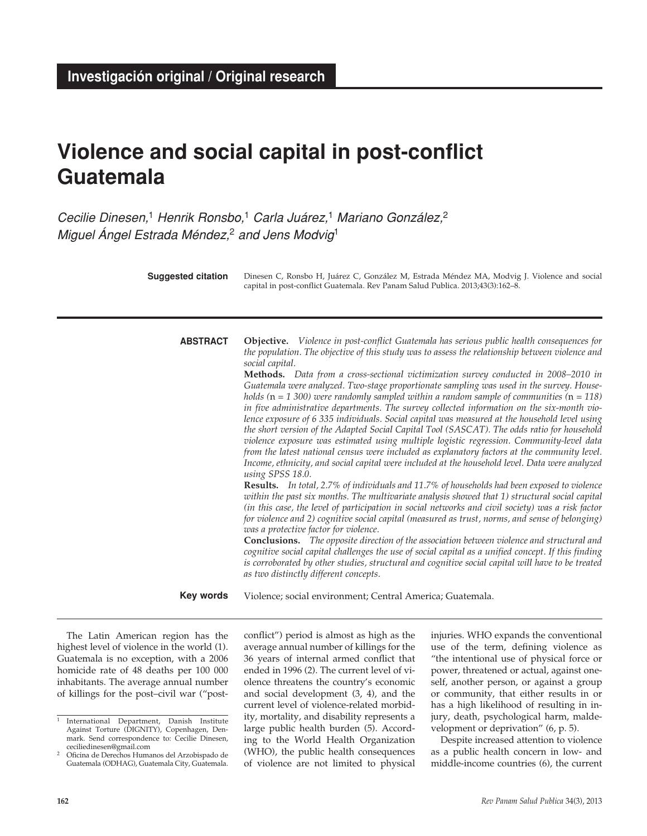# **Violence and social capital in post-conflict Guatemala**

*Cecilie Dinesen,*1 *Henrik Ronsbo,*1 *Carla Juárez,*1 *Mariano González,*<sup>2</sup> *Miguel Ángel Estrada Méndez,*2 *and Jens Modvig*<sup>1</sup>

**Objective.** *Violence in post-conflict Guatemala has serious public health consequences for the population. The objective of this study was to assess the relationship between violence and social capital.*  **Methods.** *Data from a cross-sectional victimization survey conducted in 2008–2010 in Guatemala were analyzed. Two-stage proportionate sampling was used in the survey. Households (*n *= 1 300) were randomly sampled within a random sample of communities (*n *= 118) in five administrative departments. The survey collected information on the six-month violence exposure of 6 335 individuals. Social capital was measured at the household level using the short version of the Adapted Social Capital Tool (SASCAT). The odds ratio for household violence exposure was estimated using multiple logistic regression. Community-level data from the latest national census were included as explanatory factors at the community level. Income, ethnicity, and social capital were included at the household level. Data were analyzed using SPSS 18.0.* **Results.** *In total, 2.7% of individuals and 11.7% of households had been exposed to violence within the past six months. The multivariate analysis showed that 1) structural social capital (in this case, the level of participation in social networks and civil society) was a risk factor for violence and 2) cognitive social capital (measured as trust, norms, and sense of belonging) was a protective factor for violence.*  **Conclusions.** *The opposite direction of the association between violence and structural and cognitive social capital challenges the use of social capital as a unified concept. If this finding is corroborated by other studies, structural and cognitive social capital will have to be treated as two distinctly different concepts.* **ABSTRACT** Dinesen C, Ronsbo H, Juárez C, González M, Estrada Méndez MA, Modvig J. Violence and social capital in post-conflict Guatemala. Rev Panam Salud Publica. 2013;43(3):162–8. **Suggested citation**

> Violence; social environment; Central America; Guatemala. **Key words**

The Latin American region has the highest level of violence in the world (1). Guatemala is no exception, with a 2006 homicide rate of 48 deaths per 100 000 inhabitants. The average annual number of killings for the post–civil war ("postconflict") period is almost as high as the average annual number of killings for the 36 years of internal armed conflict that ended in 1996 (2). The current level of violence threatens the country's economic and social development (3, 4), and the current level of violence-related morbidity, mortality, and disability represents a large public health burden (5). According to the World Health Organization (WHO), the public health consequences of violence are not limited to physical

injuries. WHO expands the conventional use of the term, defining violence as "the intentional use of physical force or power, threatened or actual, against oneself, another person, or against a group or community, that either results in or has a high likelihood of resulting in injury, death, psychological harm, maldevelopment or deprivation" (6, p. 5).

Despite increased attention to violence as a public health concern in low- and middle-income countries (6), the current

<sup>1</sup> International Department, Danish Institute Against Torture (DIGNITY), Copenhagen, Denmark. Send correspondence to: Cecilie Dinesen, ceciliedinesen@gmail.com

<sup>2</sup> Oficina de Derechos Humanos del Arzobispado de Guatemala (ODHAG), Guatemala City, Guatemala.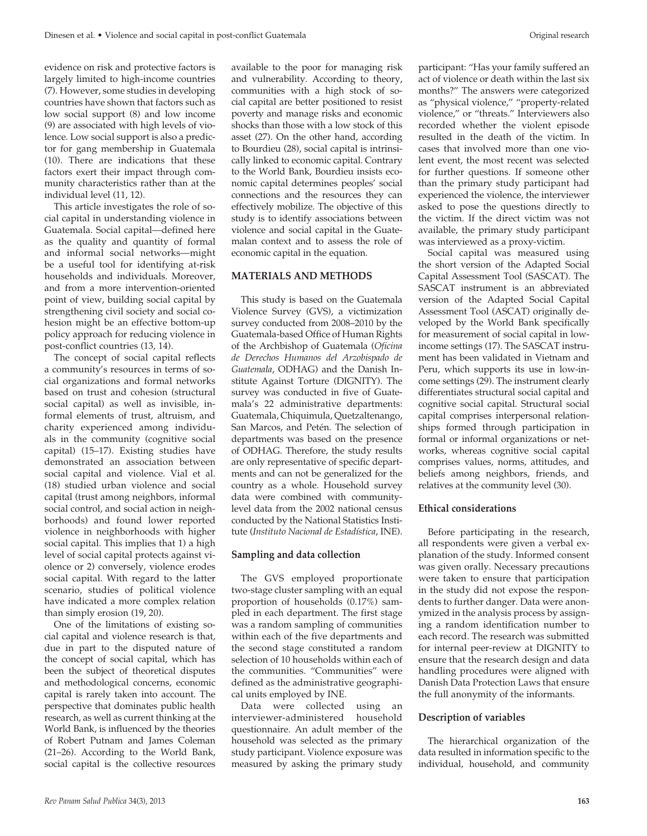evidence on risk and protective factors is largely limited to high-income countries (7). However, some studies in developing countries have shown that factors such as low social support (8) and low income (9) are associated with high levels of violence. Low social support is also a predictor for gang membership in Guatemala (10). There are indications that these factors exert their impact through community characteristics rather than at the individual level (11, 12).

This article investigates the role of social capital in understanding violence in Guatemala. Social capital—defined here as the quality and quantity of formal and informal social networks—might be a useful tool for identifying at-risk households and individuals. Moreover, and from a more intervention-oriented point of view, building social capital by strengthening civil society and social cohesion might be an effective bottom-up policy approach for reducing violence in post-conflict countries (13, 14).

The concept of social capital reflects a community's resources in terms of social organizations and formal networks based on trust and cohesion (structural social capital) as well as invisible, informal elements of trust, altruism, and charity experienced among individuals in the community (cognitive social capital) (15–17). Existing studies have demonstrated an association between social capital and violence. Vial et al. (18) studied urban violence and social capital (trust among neighbors, informal social control, and social action in neighborhoods) and found lower reported violence in neighborhoods with higher social capital. This implies that 1) a high level of social capital protects against violence or 2) conversely, violence erodes social capital. With regard to the latter scenario, studies of political violence have indicated a more complex relation than simply erosion (19, 20).

One of the limitations of existing social capital and violence research is that, due in part to the disputed nature of the concept of social capital, which has been the subject of theoretical disputes and methodological concerns, economic capital is rarely taken into account. The perspective that dominates public health research, as well as current thinking at the World Bank, is influenced by the theories of Robert Putnam and James Coleman (21–26). According to the World Bank, social capital is the collective resources

available to the poor for managing risk and vulnerability. According to theory, communities with a high stock of social capital are better positioned to resist poverty and manage risks and economic shocks than those with a low stock of this asset (27). On the other hand, according to Bourdieu (28), social capital is intrinsically linked to economic capital. Contrary to the World Bank, Bourdieu insists economic capital determines peoples' social connections and the resources they can effectively mobilize. The objective of this study is to identify associations between violence and social capital in the Guatemalan context and to assess the role of economic capital in the equation.

#### **Materials and Methods**

This study is based on the Guatemala Violence Survey (GVS), a victimization survey conducted from 2008–2010 by the Guatemala-based Office of Human Rights of the Archbishop of Guatemala (*Oficina de Derechos Humanos del Arzobispado de Guatemala*, ODHAG) and the Danish Institute Against Torture (DIGNITY). The survey was conducted in five of Guatemala's 22 administrative departments: Guatemala, Chiquimula, Quetzaltenango, San Marcos, and Petén. The selection of departments was based on the presence of ODHAG. Therefore, the study results are only representative of specific departments and can not be generalized for the country as a whole. Household survey data were combined with communitylevel data from the 2002 national census conducted by the National Statistics Institute (*Instituto Nacional de Estadística*, INE).

# **Sampling and data collection**

The GVS employed proportionate two-stage cluster sampling with an equal proportion of households (0.17%) sampled in each department. The first stage was a random sampling of communities within each of the five departments and the second stage constituted a random selection of 10 households within each of the communities. "Communities" were defined as the administrative geographical units employed by INE.

Data were collected using an interviewer-administered household questionnaire. An adult member of the household was selected as the primary study participant. Violence exposure was measured by asking the primary study

participant: "Has your family suffered an act of violence or death within the last six months?" The answers were categorized as "physical violence," "property-related violence," or "threats." Interviewers also recorded whether the violent episode resulted in the death of the victim. In cases that involved more than one violent event, the most recent was selected for further questions. If someone other than the primary study participant had experienced the violence, the interviewer asked to pose the questions directly to the victim. If the direct victim was not available, the primary study participant was interviewed as a proxy-victim.

Social capital was measured using the short version of the Adapted Social Capital Assessment Tool (SASCAT). The SASCAT instrument is an abbreviated version of the Adapted Social Capital Assessment Tool (ASCAT) originally developed by the World Bank specifically for measurement of social capital in lowincome settings (17). The SASCAT instrument has been validated in Vietnam and Peru, which supports its use in low-income settings (29). The instrument clearly differentiates structural social capital and cognitive social capital. Structural social capital comprises interpersonal relationships formed through participation in formal or informal organizations or networks, whereas cognitive social capital comprises values, norms, attitudes, and beliefs among neighbors, friends, and relatives at the community level (30).

#### **Ethical considerations**

Before participating in the research, all respondents were given a verbal explanation of the study. Informed consent was given orally. Necessary precautions were taken to ensure that participation in the study did not expose the respondents to further danger. Data were anonymized in the analysis process by assigning a random identification number to each record. The research was submitted for internal peer-review at DIGNITY to ensure that the research design and data handling procedures were aligned with Danish Data Protection Laws that ensure the full anonymity of the informants.

#### **Description of variables**

The hierarchical organization of the data resulted in information specific to the individual, household, and community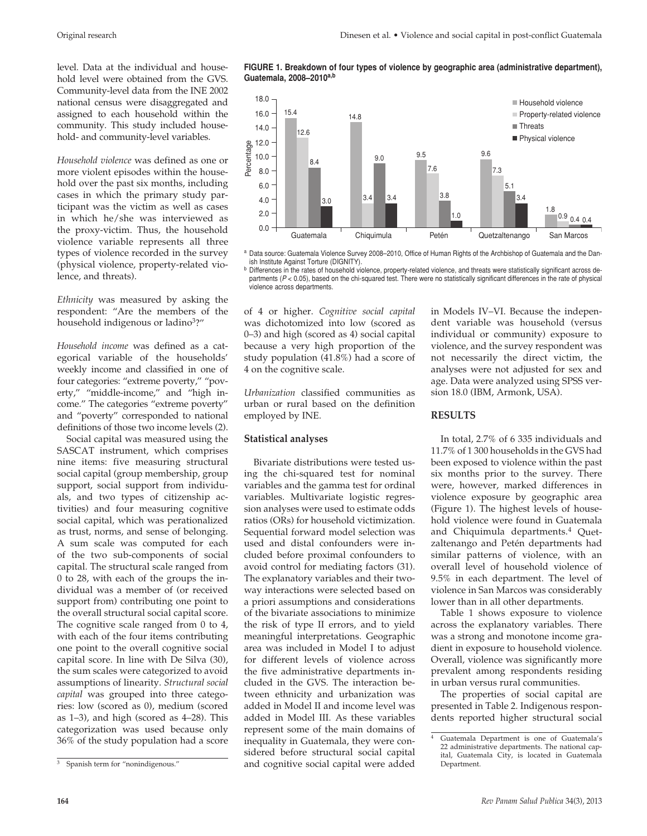level. Data at the individual and household level were obtained from the GVS. Community-level data from the INE 2002 national census were disaggregated and assigned to each household within the community. This study included household- and community-level variables.

*Household violence* was defined as one or more violent episodes within the household over the past six months, including cases in which the primary study participant was the victim as well as cases in which he/she was interviewed as the proxy-victim. Thus, the household violence variable represents all three types of violence recorded in the survey (physical violence, property-related violence, and threats).

*Ethnicity* was measured by asking the respondent: "Are the members of the household indigenous or ladino<sup>3</sup>?"

*Household income* was defined as a categorical variable of the households' weekly income and classified in one of four categories: "extreme poverty," "poverty," "middle-income," and "high income." The categories "extreme poverty" and "poverty" corresponded to national definitions of those two income levels (2).

Social capital was measured using the SASCAT instrument, which comprises nine items: five measuring structural social capital (group membership, group support, social support from individuals, and two types of citizenship activities) and four measuring cognitive social capital, which was perationalized as trust, norms, and sense of belonging. A sum scale was computed for each of the two sub-components of social capital. The structural scale ranged from 0 to 28, with each of the groups the individual was a member of (or received support from) contributing one point to the overall structural social capital score. The cognitive scale ranged from 0 to 4, with each of the four items contributing one point to the overall cognitive social capital score. In line with De Silva (30), the sum scales were categorized to avoid assumptions of linearity. *Structural social capital* was grouped into three categories: low (scored as 0), medium (scored as 1–3), and high (scored as 4–28). This categorization was used because only 36% of the study population had a score





a Data source: Guatemala Violence Survey 2008-2010, Office of Human Rights of the Archbishop of Guatemala and the Dan-

ish Institute Against Torture (DIGNITY).<br><sup>b</sup> Differences in the rates of household violence, property-related violence, and threats were statistically significant across departments ( $P$  < 0.05), based on the chi-squared test. There were no statistically significant differences in the rate of physical violence across departments.

of 4 or higher. *Cognitive social capital* was dichotomized into low (scored as 0–3) and high (scored as 4) social capital because a very high proportion of the study population (41.8%) had a score of 4 on the cognitive scale.

*Urbanization* classified communities as urban or rural based on the definition employed by INE.

# **Statistical analyses**

Bivariate distributions were tested using the chi-squared test for nominal variables and the gamma test for ordinal variables. Multivariate logistic regression analyses were used to estimate odds ratios (ORs) for household victimization. Sequential forward model selection was used and distal confounders were included before proximal confounders to avoid control for mediating factors (31). The explanatory variables and their twoway interactions were selected based on a priori assumptions and considerations of the bivariate associations to minimize the risk of type II errors, and to yield meaningful interpretations. Geographic area was included in Model I to adjust for different levels of violence across the five administrative departments included in the GVS. The interaction between ethnicity and urbanization was added in Model II and income level was added in Model III. As these variables represent some of the main domains of inequality in Guatemala, they were considered before structural social capital and cognitive social capital were added

in Models IV–VI. Because the independent variable was household (versus individual or community) exposure to violence, and the survey respondent was not necessarily the direct victim, the analyses were not adjusted for sex and age. Data were analyzed using SPSS version 18.0 (IBM, Armonk, USA).

# **Results**

In total, 2.7% of 6 335 individuals and 11.7% of 1 300 households in the GVS had been exposed to violence within the past six months prior to the survey. There were, however, marked differences in violence exposure by geographic area (Figure 1). The highest levels of household violence were found in Guatemala and Chiquimula departments.4 Quetzaltenango and Petén departments had similar patterns of violence, with an overall level of household violence of 9.5% in each department. The level of violence in San Marcos was considerably lower than in all other departments.

Table 1 shows exposure to violence across the explanatory variables. There was a strong and monotone income gradient in exposure to household violence. Overall, violence was significantly more prevalent among respondents residing in urban versus rural communities.

The properties of social capital are presented in Table 2. Indigenous respondents reported higher structural social

<sup>3</sup> Spanish term for "nonindigenous."

<sup>4</sup> Guatemala Department is one of Guatemala's 22 administrative departments. The national capital, Guatemala City, is located in Guatemala Department.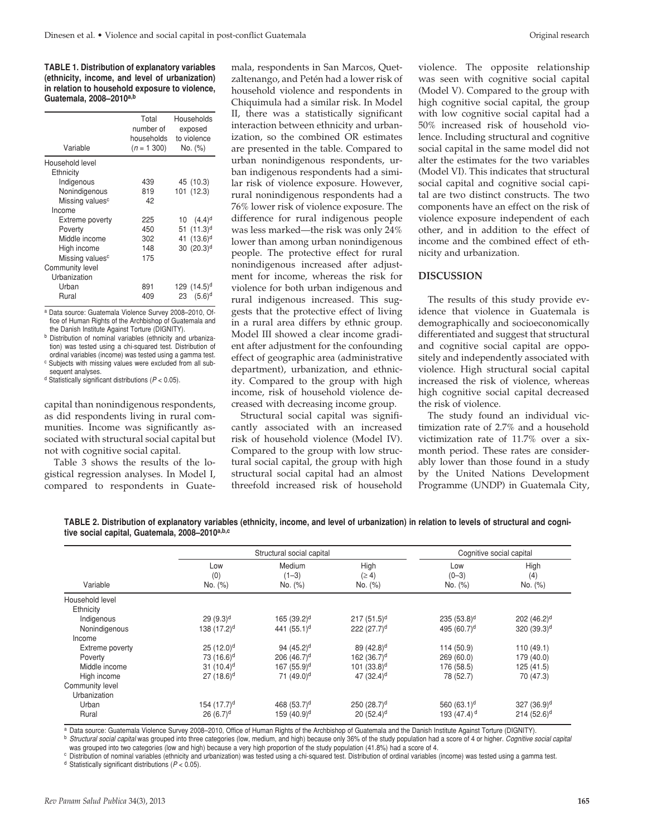**TABLE 1. Distribution of explanatory variables (ethnicity, income, and level of urbanization) in relation to household exposure to violence, Guatemala, 2008–2010a,b**

| Total<br>number of<br>households<br>$(n = 1, 300)$ | Households<br>exposed<br>to violence<br>No. (%) |  |
|----------------------------------------------------|-------------------------------------------------|--|
|                                                    |                                                 |  |
|                                                    |                                                 |  |
| 439                                                | 45 (10.3)                                       |  |
| 819                                                | 101 (12.3)                                      |  |
| 42                                                 |                                                 |  |
|                                                    |                                                 |  |
| 225                                                | 10 $(4.4)^d$                                    |  |
| 450                                                | 51 $(11.3)^d$                                   |  |
| 302                                                | 41 $(13.6)^d$                                   |  |
| 148                                                | $30(20.3)^d$                                    |  |
| 175                                                |                                                 |  |
|                                                    |                                                 |  |
|                                                    |                                                 |  |
| 891                                                | 129 $(14.5)^d$                                  |  |
| 409                                                | $(5.6)^d$<br>23                                 |  |
|                                                    |                                                 |  |

a Data source: Guatemala Violence Survey 2008–2010, Office of Human Rights of the Archbishop of Guatemala and the Danish Institute Against Torture (DIGNITY).

**b** Distribution of nominal variables (ethnicity and urbanization) was tested using a chi-squared test. Distribution of ordinal variables (income) was tested using a gamma test.

c Subjects with missing values were excluded from all subsequent analyses.

d Statistically significant distributions (*P* < 0.05).

capital than nonindigenous respondents, as did respondents living in rural communities. Income was significantly associated with structural social capital but not with cognitive social capital.

Table 3 shows the results of the logistical regression analyses. In Model I, compared to respondents in Guatemala, respondents in San Marcos, Quetzaltenango, and Petén had a lower risk of household violence and respondents in Chiquimula had a similar risk. In Model II, there was a statistically significant interaction between ethnicity and urbanization, so the combined OR estimates are presented in the table. Compared to urban nonindigenous respondents, urban indigenous respondents had a similar risk of violence exposure. However, rural nonindigenous respondents had a 76% lower risk of violence exposure. The difference for rural indigenous people was less marked—the risk was only 24% lower than among urban nonindigenous people. The protective effect for rural nonindigenous increased after adjustment for income, whereas the risk for violence for both urban indigenous and rural indigenous increased. This suggests that the protective effect of living in a rural area differs by ethnic group. Model III showed a clear income gradient after adjustment for the confounding effect of geographic area (administrative department), urbanization, and ethnicity. Compared to the group with high income, risk of household violence decreased with decreasing income group.

Structural social capital was significantly associated with an increased risk of household violence (Model IV). Compared to the group with low structural social capital, the group with high structural social capital had an almost threefold increased risk of household

violence. The opposite relationship was seen with cognitive social capital (Model V). Compared to the group with high cognitive social capital, the group with low cognitive social capital had a 50% increased risk of household violence. Including structural and cognitive social capital in the same model did not alter the estimates for the two variables (Model VI). This indicates that structural social capital and cognitive social capital are two distinct constructs. The two components have an effect on the risk of violence exposure independent of each other, and in addition to the effect of income and the combined effect of ethnicity and urbanization.

# **Discussion**

The results of this study provide evidence that violence in Guatemala is demographically and socioeconomically differentiated and suggest that structural and cognitive social capital are oppositely and independently associated with violence. High structural social capital increased the risk of violence, whereas high cognitive social capital decreased the risk of violence.

The study found an individual victimization rate of 2.7% and a household victimization rate of 11.7% over a sixmonth period. These rates are considerably lower than those found in a study by the United Nations Development Programme (UNDP) in Guatemala City,

**TABLE 2. Distribution of explanatory variables (ethnicity, income, and level of urbanization) in relation to levels of structural and cognitive social capital, Guatemala, 2008–2010a,b,c**

|                 |                         | Structural social capital    |                               |                           | Cognitive social capital |  |
|-----------------|-------------------------|------------------------------|-------------------------------|---------------------------|--------------------------|--|
| Variable        | Low<br>(0)<br>No. (%)   | Medium<br>$(1-3)$<br>No. (%) | High<br>$(\geq 4)$<br>No. (%) | Low<br>$(0-3)$<br>No. (%) | High<br>(4)<br>No. (%)   |  |
| Household level |                         |                              |                               |                           |                          |  |
| Ethnicity       |                         |                              |                               |                           |                          |  |
| Indigenous      | $29(9.3)^d$             | 165 (39.2) <sup>d</sup>      | $217(51.5)^d$                 | 235 (53.8) <sup>d</sup>   | 202(46.2) <sup>d</sup>   |  |
| Nonindigenous   | 138 (17.2) <sup>d</sup> | 441 $(55.1)^d$               | 222(27.7) <sup>d</sup>        | 495 (60.7) <sup>d</sup>   | 320(39.3) <sup>d</sup>   |  |
| Income          |                         |                              |                               |                           |                          |  |
| Extreme poverty | $25(12.0)^d$            | 94 $(45.2)$ <sup>d</sup>     | 89 (42.8) <sup>d</sup>        | 114 (50.9)                | 110(49.1)                |  |
| Poverty         | 73 (16.6) <sup>d</sup>  | 206 (46.7) <sup>d</sup>      | 162 $(36.7)^d$                | 269 (60.0)                | 179 (40.0)               |  |
| Middle income   | 31 $(10.4)^d$           | 167 (55.9) <sup>d</sup>      | 101 (33.8) <sup>d</sup>       | 176 (58.5)                | 125 (41.5)               |  |
| High income     | $27(18.6)^d$            | 71 (49.0) <sup>d</sup>       | 47 $(32.4)$ <sup>d</sup>      | 78 (52.7)                 | 70 (47.3)                |  |
| Community level |                         |                              |                               |                           |                          |  |
| Urbanization    |                         |                              |                               |                           |                          |  |
| Urban           | 154 (17.7) <sup>d</sup> | 468 (53.7) <sup>d</sup>      | 250 (28.7) <sup>d</sup>       | 560 $(63.1)^d$            | $327(36.9)^d$            |  |
| Rural           | $26(6.7)^d$             | 159 (40.9) <sup>d</sup>      | $20(52.4)$ <sup>d</sup>       | 193 $(47.4)$ <sup>d</sup> | $214(52.6)^d$            |  |

<sup>a</sup> Data source: Guatemala Violence Survey 2008-2010, Office of Human Rights of the Archbishop of Guatemala and the Danish Institute Against Torture (DIGNITY).<br><sup>b</sup> Structural social capital was grouped into three categorie

was grouped into two categories (low and high) because a very high proportion of the study population (41.8%) had a score of 4.

<sup>c</sup> Distribution of nominal variables (ethnicity and urbanization) was tested using a chi-squared test. Distribution of ordinal variables (income) was tested using a gamma test.

<sup>d</sup> Statistically significant distributions (*P* < 0.05).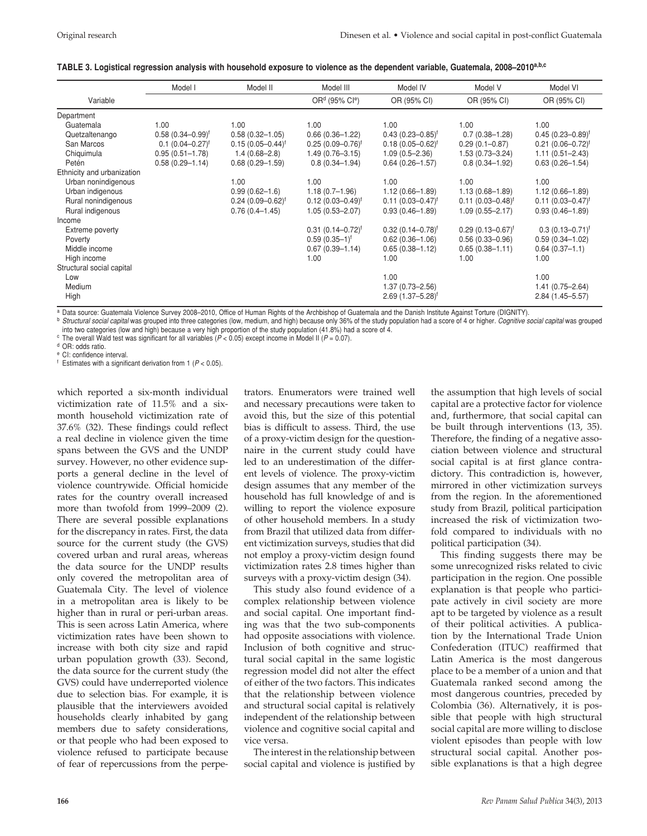| TABLE 3. Logistical regression analysis with household exposure to violence as the dependent variable, Guatemala, 2008–2010 <sup>a,b,c</sup> |  |  |
|----------------------------------------------------------------------------------------------------------------------------------------------|--|--|
|                                                                                                                                              |  |  |

|                            | Model I               | Model II              | Model III                              | Model IV              | Model V               | Model VI               |
|----------------------------|-----------------------|-----------------------|----------------------------------------|-----------------------|-----------------------|------------------------|
| Variable                   |                       |                       | OR <sup>d</sup> (95% Cl <sup>e</sup> ) | OR (95% CI)           | OR (95% CI)           | OR (95% CI)            |
| Department                 |                       |                       |                                        |                       |                       |                        |
| Guatemala                  | 1.00                  | 1.00                  | 1.00                                   | 1.00                  | 1.00                  | 1.00                   |
| Quetzaltenango             | $0.58(0.34 - 0.99)^f$ | $0.58(0.32 - 1.05)$   | $0.66(0.36 - 1.22)$                    | $0.43(0.23 - 0.85)^f$ | $0.7(0.38 - 1.28)$    | $0.45(0.23 - 0.89)^f$  |
| San Marcos                 | $0.1 (0.04 - 0.27)^f$ | $0.15(0.05 - 0.44)^f$ | $0.25(0.09 - 0.76)^f$                  | $0.18(0.05 - 0.62)^f$ | $0.29(0.1 - 0.87)$    | $0.21 (0.06 - 0.72)^f$ |
| Chiquimula                 | $0.95(0.51 - 1.78)$   | $1.4(0.68 - 2.8)$     | $1.49(0.76 - 3.15)$                    | $1.09(0.5 - 2.36)$    | $1.53(0.73 - 3.24)$   | $1.11(0.51 - 2.43)$    |
| Petén                      | $0.58(0.29 - 1.14)$   | $0.68(0.29 - 1.59)$   | $0.8(0.34 - 1.94)$                     | $0.64(0.26 - 1.57)$   | $0.8(0.34 - 1.92)$    | $0.63(0.26 - 1.54)$    |
| Ethnicity and urbanization |                       |                       |                                        |                       |                       |                        |
| Urban nonindigenous        |                       | 1.00                  | 1.00                                   | 1.00                  | 1.00                  | 1.00                   |
| Urban indigenous           |                       | $0.99(0.62 - 1.6)$    | $1.18(0.7-1.96)$                       | $1.12(0.66 - 1.89)$   | $1.13(0.68 - 1.89)$   | $1.12(0.66 - 1.89)$    |
| Rural nonindigenous        |                       | $0.24(0.09 - 0.62)^f$ | $0.12(0.03 - 0.49)^f$                  | $0.11(0.03 - 0.47)^f$ | $0.11(0.03 - 0.48)^f$ | $0.11(0.03 - 0.47)^f$  |
| Rural indigenous           |                       | $0.76(0.4 - 1.45)$    | $1.05(0.53 - 2.07)$                    | $0.93(0.46 - 1.89)$   | $1.09(0.55 - 2.17)$   | $0.93(0.46 - 1.89)$    |
| Income                     |                       |                       |                                        |                       |                       |                        |
| Extreme poverty            |                       |                       | $0.31(0.14 - 0.72)^f$                  | $0.32(0.14 - 0.78)^f$ | $0.29(0.13 - 0.67)^f$ | $0.3(0.13 - 0.71)^f$   |
| Poverty                    |                       |                       | $0.59(0.35-1)^f$                       | $0.62(0.36 - 1.06)$   | $0.56(0.33 - 0.96)$   | $0.59(0.34 - 1.02)$    |
| Middle income              |                       |                       | $0.67(0.39 - 1.14)$                    | $0.65(0.38 - 1.12)$   | $0.65(0.38 - 1.11)$   | $0.64(0.37 - 1.1)$     |
| High income                |                       |                       | 1.00                                   | 1.00                  | 1.00                  | 1.00                   |
| Structural social capital  |                       |                       |                                        |                       |                       |                        |
| Low                        |                       |                       |                                        | 1.00                  |                       | 1.00                   |
| Medium                     |                       |                       |                                        | $1.37(0.73 - 2.56)$   |                       | $1.41(0.75 - 2.64)$    |
| High                       |                       |                       |                                        | $2.69(1.37 - 5.28)^f$ |                       | $2.84(1.45 - 5.57)$    |

a Data source: Guatemala Violence Survey 2008–2010, Office of Human Rights of the Archbishop of Guatemala and the Danish Institute Against Torture (DIGNITY).

<sup>b</sup> *Structural social capital* was grouped into three categories (low, medium, and high) because only 36% of the study population had a score of 4 or higher. *Cognitive social capital* was grouped The overall Wald test was significant for all variables ( $P < 0.05$ ) except income in Model II ( $P = 0.07$ ).<br>
The overall Wald test was significant for all variables ( $P < 0.05$ ) except income in Model II ( $P = 0.07$ ).

<sup>e</sup> CI: confidence interval.

 $f$  Estimates with a significant derivation from 1 ( $P < 0.05$ ).

which reported a six-month individual victimization rate of 11.5% and a sixmonth household victimization rate of 37.6% (32). These findings could reflect a real decline in violence given the time spans between the GVS and the UNDP survey. However, no other evidence supports a general decline in the level of violence countrywide. Official homicide rates for the country overall increased more than twofold from 1999–2009 (2). There are several possible explanations for the discrepancy in rates. First, the data source for the current study (the GVS) covered urban and rural areas, whereas the data source for the UNDP results only covered the metropolitan area of Guatemala City. The level of violence in a metropolitan area is likely to be higher than in rural or peri-urban areas. This is seen across Latin America, where victimization rates have been shown to increase with both city size and rapid urban population growth (33). Second, the data source for the current study (the GVS) could have underreported violence due to selection bias. For example, it is plausible that the interviewers avoided households clearly inhabited by gang members due to safety considerations, or that people who had been exposed to violence refused to participate because of fear of repercussions from the perpe-

trators. Enumerators were trained well and necessary precautions were taken to avoid this, but the size of this potential bias is difficult to assess. Third, the use of a proxy-victim design for the questionnaire in the current study could have led to an underestimation of the different levels of violence. The proxy-victim design assumes that any member of the household has full knowledge of and is willing to report the violence exposure of other household members. In a study from Brazil that utilized data from different victimization surveys, studies that did not employ a proxy-victim design found victimization rates 2.8 times higher than surveys with a proxy-victim design (34).

This study also found evidence of a complex relationship between violence and social capital. One important finding was that the two sub-components had opposite associations with violence. Inclusion of both cognitive and structural social capital in the same logistic regression model did not alter the effect of either of the two factors. This indicates that the relationship between violence and structural social capital is relatively independent of the relationship between violence and cognitive social capital and vice versa.

The interest in the relationship between social capital and violence is justified by the assumption that high levels of social capital are a protective factor for violence and, furthermore, that social capital can be built through interventions (13, 35). Therefore, the finding of a negative association between violence and structural social capital is at first glance contradictory. This contradiction is, however, mirrored in other victimization surveys from the region. In the aforementioned study from Brazil, political participation increased the risk of victimization twofold compared to individuals with no political participation (34).

This finding suggests there may be some unrecognized risks related to civic participation in the region. One possible explanation is that people who participate actively in civil society are more apt to be targeted by violence as a result of their political activities. A publication by the International Trade Union Confederation (ITUC) reaffirmed that Latin America is the most dangerous place to be a member of a union and that Guatemala ranked second among the most dangerous countries, preceded by Colombia (36). Alternatively, it is possible that people with high structural social capital are more willing to disclose violent episodes than people with low structural social capital. Another possible explanations is that a high degree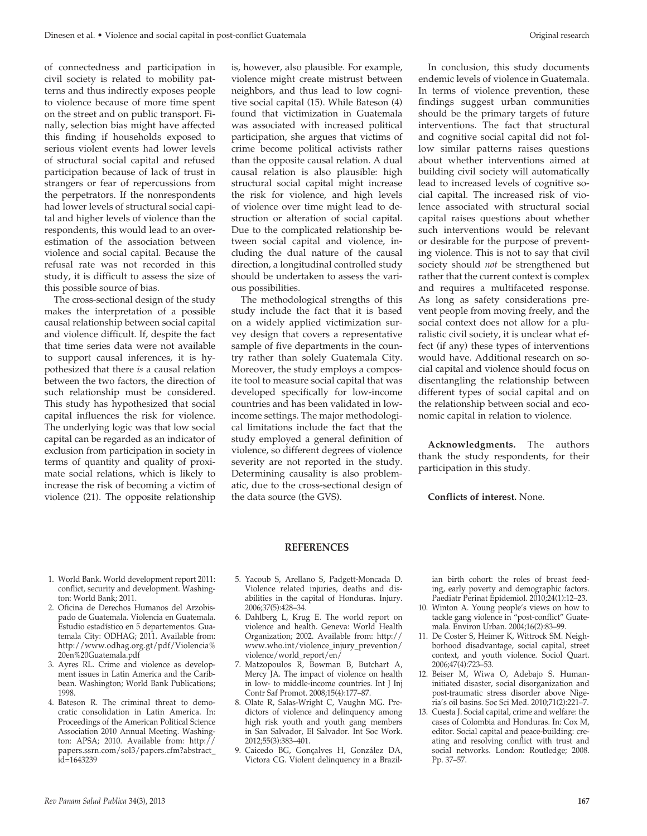of connectedness and participation in civil society is related to mobility patterns and thus indirectly exposes people to violence because of more time spent on the street and on public transport. Finally, selection bias might have affected this finding if households exposed to serious violent events had lower levels of structural social capital and refused participation because of lack of trust in strangers or fear of repercussions from the perpetrators. If the nonrespondents had lower levels of structural social capital and higher levels of violence than the respondents, this would lead to an overestimation of the association between violence and social capital. Because the refusal rate was not recorded in this study, it is difficult to assess the size of this possible source of bias.

The cross-sectional design of the study makes the interpretation of a possible causal relationship between social capital and violence difficult. If, despite the fact that time series data were not available to support causal inferences, it is hypothesized that there *is* a causal relation between the two factors, the direction of such relationship must be considered. This study has hypothesized that social capital influences the risk for violence. The underlying logic was that low social capital can be regarded as an indicator of exclusion from participation in society in terms of quantity and quality of proximate social relations, which is likely to increase the risk of becoming a victim of violence (21). The opposite relationship

is, however, also plausible. For example, violence might create mistrust between neighbors, and thus lead to low cognitive social capital (15). While Bateson (4) found that victimization in Guatemala was associated with increased political participation, she argues that victims of crime become political activists rather than the opposite causal relation. A dual causal relation is also plausible: high structural social capital might increase the risk for violence, and high levels of violence over time might lead to destruction or alteration of social capital. Due to the complicated relationship between social capital and violence, including the dual nature of the causal direction, a longitudinal controlled study should be undertaken to assess the various possibilities.

The methodological strengths of this study include the fact that it is based on a widely applied victimization survey design that covers a representative sample of five departments in the country rather than solely Guatemala City. Moreover, the study employs a composite tool to measure social capital that was developed specifically for low-income countries and has been validated in lowincome settings. The major methodological limitations include the fact that the study employed a general definition of violence, so different degrees of violence severity are not reported in the study. Determining causality is also problematic, due to the cross-sectional design of the data source (the GVS).

In conclusion, this study documents endemic levels of violence in Guatemala. In terms of violence prevention, these findings suggest urban communities should be the primary targets of future interventions. The fact that structural and cognitive social capital did not follow similar patterns raises questions about whether interventions aimed at building civil society will automatically lead to increased levels of cognitive social capital. The increased risk of violence associated with structural social capital raises questions about whether such interventions would be relevant or desirable for the purpose of preventing violence. This is not to say that civil society should *not* be strengthened but rather that the current context is complex and requires a multifaceted response. As long as safety considerations prevent people from moving freely, and the social context does not allow for a pluralistic civil society, it is unclear what effect (if any) these types of interventions would have. Additional research on social capital and violence should focus on disentangling the relationship between different types of social capital and on the relationship between social and economic capital in relation to violence.

**Acknowledgments.** The authors thank the study respondents, for their participation in this study.

**Conflicts of interest.** None.

# **REFERENCES**

- 1. World Bank. World development report 2011: conflict, security and development. Washington: World Bank; 2011.
- 2. Oficina de Derechos Humanos del Arzobispado de Guatemala. Violencia en Guatemala. Estudio estadístico en 5 departementos. Guatemala City: ODHAG; 2011. Available from: http://www.odhag.org.gt/pdf/Violencia% 20en%20Guatemala.pdf
- 3. Ayres RL. Crime and violence as development issues in Latin America and the Caribbean. Washington; World Bank Publications; 1998.
- 4. Bateson R. The criminal threat to democratic consolidation in Latin America. In: Proceedings of the American Political Science Association 2010 Annual Meeting. Washington: APSA; 2010. Available from: http:// papers.ssrn.com/sol3/papers.cfm?abstract\_ id=1643239
- 5. Yacoub S, Arellano S, Padgett-Moncada D. Violence related injuries, deaths and disabilities in the capital of Honduras. Injury. 2006;37(5):428–34.
- 6. Dahlberg L, Krug E. The world report on violence and health. Geneva: World Health Organization; 2002. Available from: http:// www.who.int/violence\_injury\_prevention/ violence/world\_report/en/
- 7. Matzopoulos R, Bowman B, Butchart A, Mercy JA. The impact of violence on health in low- to middle-income countries. Int J Inj Contr Saf Promot. 2008;15(4):177–87.
- 8. Olate R, Salas-Wright C, Vaughn MG. Predictors of violence and delinquency among high risk youth and youth gang members in San Salvador, El Salvador. Int Soc Work. 2012;55(3):383–401.
- 9. Caicedo BG, Gonçalves H, González DA, Victora CG. Violent delinquency in a Brazil-

ian birth cohort: the roles of breast feeding, early poverty and demographic factors. Paediatr Perinat Epidemiol. 2010;24(1):12–23.

- 10. Winton A. Young people's views on how to tackle gang violence in "post-conflict" Guatemala. Environ Urban. 2004;16(2):83–99.
- 11. De Coster S, Heimer K, Wittrock SM. Neighborhood disadvantage, social capital, street context, and youth violence. Sociol Quart. 2006;47(4):723–53.
- 12. Beiser M, Wiwa O, Adebajo S. Humaninitiated disaster, social disorganization and post-traumatic stress disorder above Nigeria's oil basins. Soc Sci Med. 2010;71(2):221–7.
- 13. Cuesta J. Social capital, crime and welfare: the cases of Colombia and Honduras. In: Cox M, editor. Social capital and peace-building: creating and resolving conflict with trust and social networks. London: Routledge; 2008. Pp. 37–57.